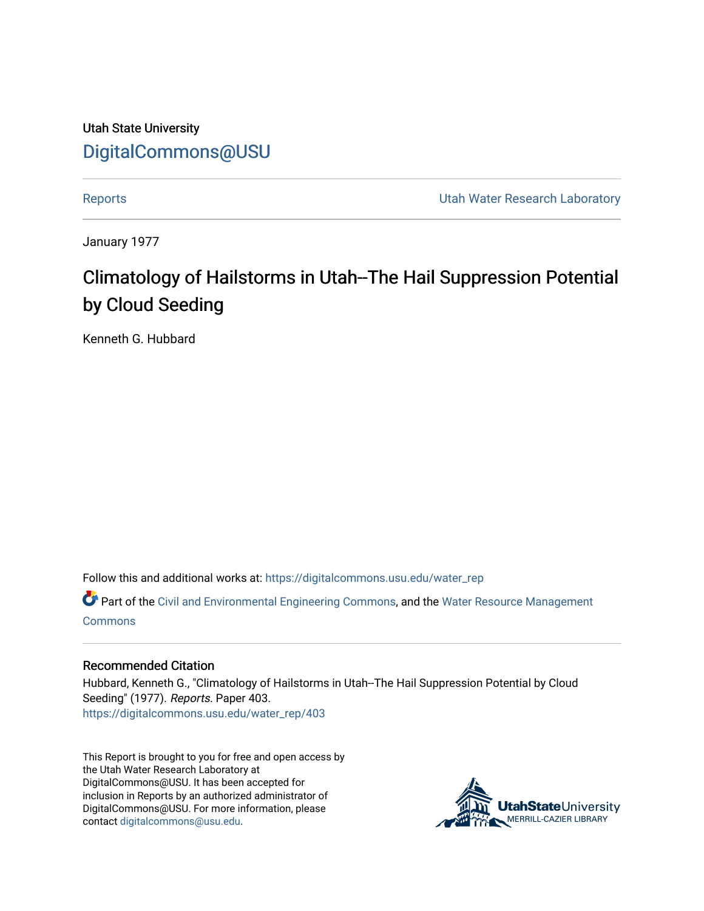Utah State University [DigitalCommons@USU](https://digitalcommons.usu.edu/)

[Reports](https://digitalcommons.usu.edu/water_rep) **Exercise Exercise Exercise Exercise Contract Contract Contract Contract Contract Contract Contract Contract Contract Contract Contract Contract Contract Contract Contract Contract Contract Contract Contract Contra** 

January 1977

# Climatology of Hailstorms in Utah--The Hail Suppression Potential by Cloud Seeding

Kenneth G. Hubbard

Follow this and additional works at: [https://digitalcommons.usu.edu/water\\_rep](https://digitalcommons.usu.edu/water_rep?utm_source=digitalcommons.usu.edu%2Fwater_rep%2F403&utm_medium=PDF&utm_campaign=PDFCoverPages) 

Part of the [Civil and Environmental Engineering Commons](http://network.bepress.com/hgg/discipline/251?utm_source=digitalcommons.usu.edu%2Fwater_rep%2F403&utm_medium=PDF&utm_campaign=PDFCoverPages), and the [Water Resource Management](http://network.bepress.com/hgg/discipline/1057?utm_source=digitalcommons.usu.edu%2Fwater_rep%2F403&utm_medium=PDF&utm_campaign=PDFCoverPages) **[Commons](http://network.bepress.com/hgg/discipline/1057?utm_source=digitalcommons.usu.edu%2Fwater_rep%2F403&utm_medium=PDF&utm_campaign=PDFCoverPages)** 

## Recommended Citation

Hubbard, Kenneth G., "Climatology of Hailstorms in Utah--The Hail Suppression Potential by Cloud Seeding" (1977). Reports. Paper 403. [https://digitalcommons.usu.edu/water\\_rep/403](https://digitalcommons.usu.edu/water_rep/403?utm_source=digitalcommons.usu.edu%2Fwater_rep%2F403&utm_medium=PDF&utm_campaign=PDFCoverPages)

This Report is brought to you for free and open access by the Utah Water Research Laboratory at DigitalCommons@USU. It has been accepted for inclusion in Reports by an authorized administrator of DigitalCommons@USU. For more information, please contact [digitalcommons@usu.edu](mailto:digitalcommons@usu.edu).

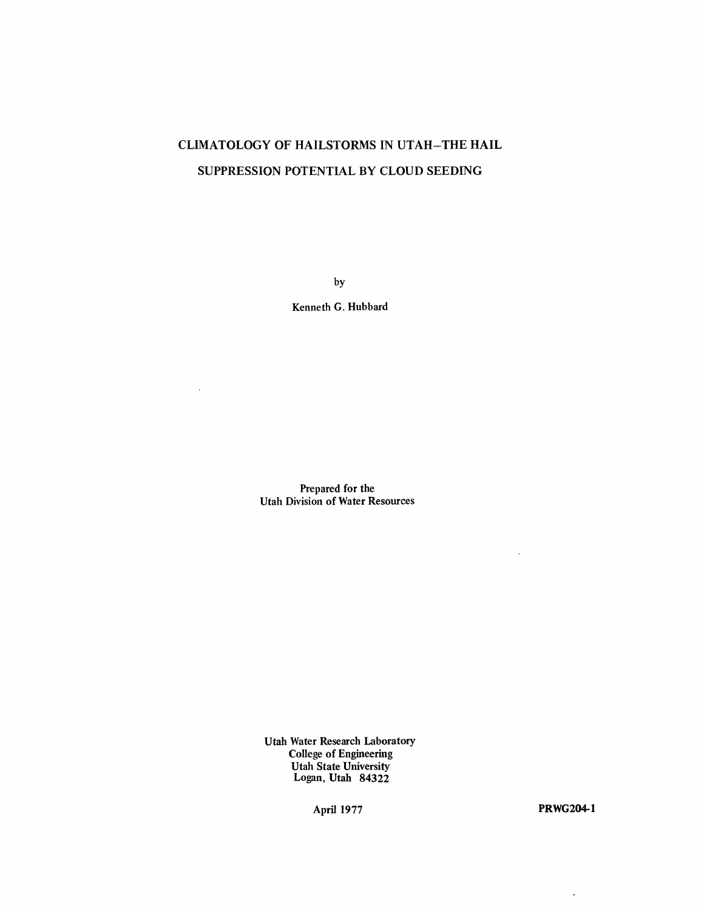# CLIMATOLOGY OF HAILSTORMS IN UTAH~THE HAIL SUPPRESSION POTENTIAL BY CLOUD SEEDING

by

Kenneth G. Hubbard

 $\sim$ 

Prepared for the Utah Division of Water Resources

Utah Water Research Laboratory College of Engineering Utah State University Logan, Utah 84322

April 1977 **PRWG204-1** 

 $\mathcal{L}$ 

 $\sim 10^{-1}$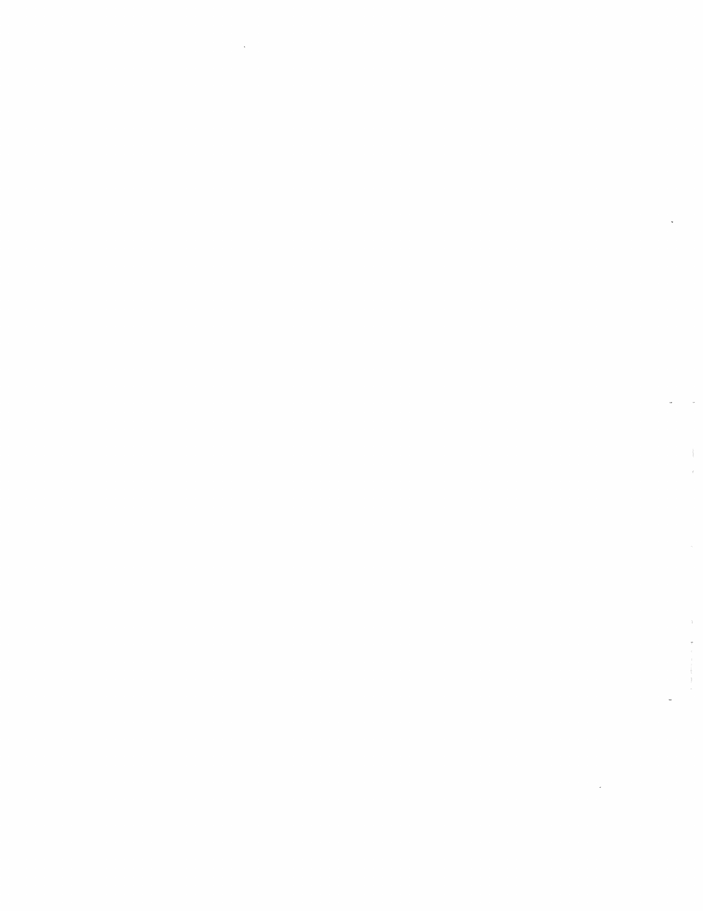$\sim$  $\sim$ ä,  $\bar{\tau}$  $\Box$  $\epsilon$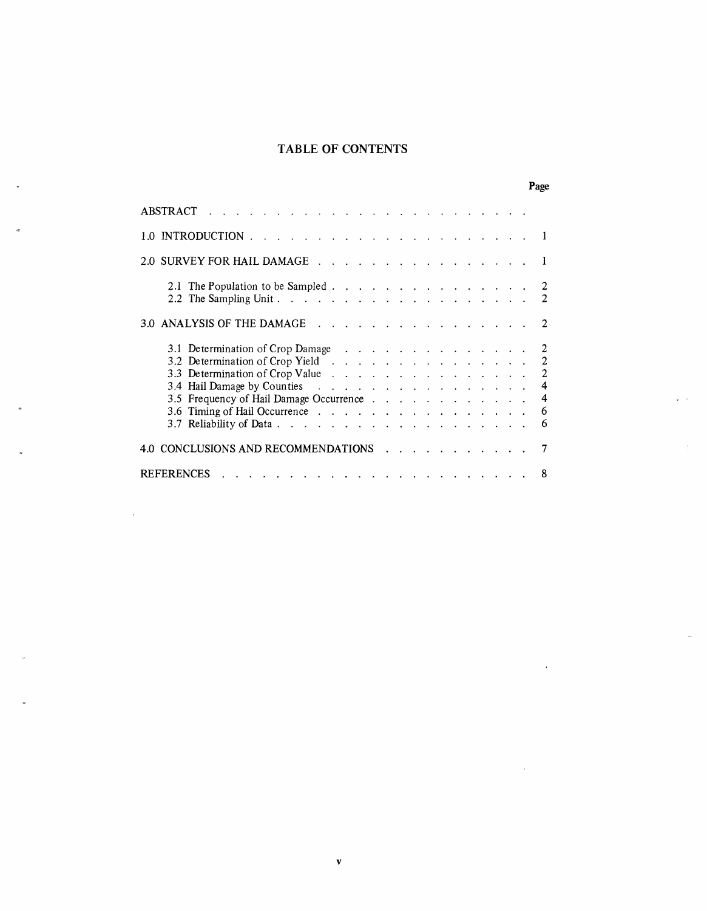# **TABLE OF CONTENTS**

l.

 $\mathscr{A}$ 

 $\overline{\phantom{a}}$ 

|                                                                                                                                                                                                                   | 1 agu                                |  |  |  |  |  |  |  |  |
|-------------------------------------------------------------------------------------------------------------------------------------------------------------------------------------------------------------------|--------------------------------------|--|--|--|--|--|--|--|--|
| المنافر والمنافر والمنافر والمنافر والمنافر والمنافر والمنافر والمنافر والمنافر والمنافر والمنافر<br>ABSTRACT                                                                                                     |                                      |  |  |  |  |  |  |  |  |
|                                                                                                                                                                                                                   |                                      |  |  |  |  |  |  |  |  |
| 2.0 SURVEY FOR HAIL DAMAGE 1                                                                                                                                                                                      |                                      |  |  |  |  |  |  |  |  |
|                                                                                                                                                                                                                   |                                      |  |  |  |  |  |  |  |  |
| 3.0 ANALYSIS OF THE DAMAGE                                                                                                                                                                                        |                                      |  |  |  |  |  |  |  |  |
| 3.1 Determination of Crop Damage<br>3.2 Determination of Crop Yield<br>3.3 Determination of Crop Value<br>3.4 Hail Damage by Counties<br>3.5 Frequency of Hail Damage Occurrence<br>3.6 Timing of Hail Occurrence | $\boldsymbol{2}$<br>4<br>4<br>6<br>6 |  |  |  |  |  |  |  |  |
| 4.0 CONCLUSIONS AND RECOMMENDATIONS                                                                                                                                                                               |                                      |  |  |  |  |  |  |  |  |
| <b>REFERENCES</b>                                                                                                                                                                                                 |                                      |  |  |  |  |  |  |  |  |

## **Page**

 $\ddot{\phantom{0}}$ 

 $\hat{\boldsymbol{\beta}}$ 

 $\mathbf{L}^{\text{max}}$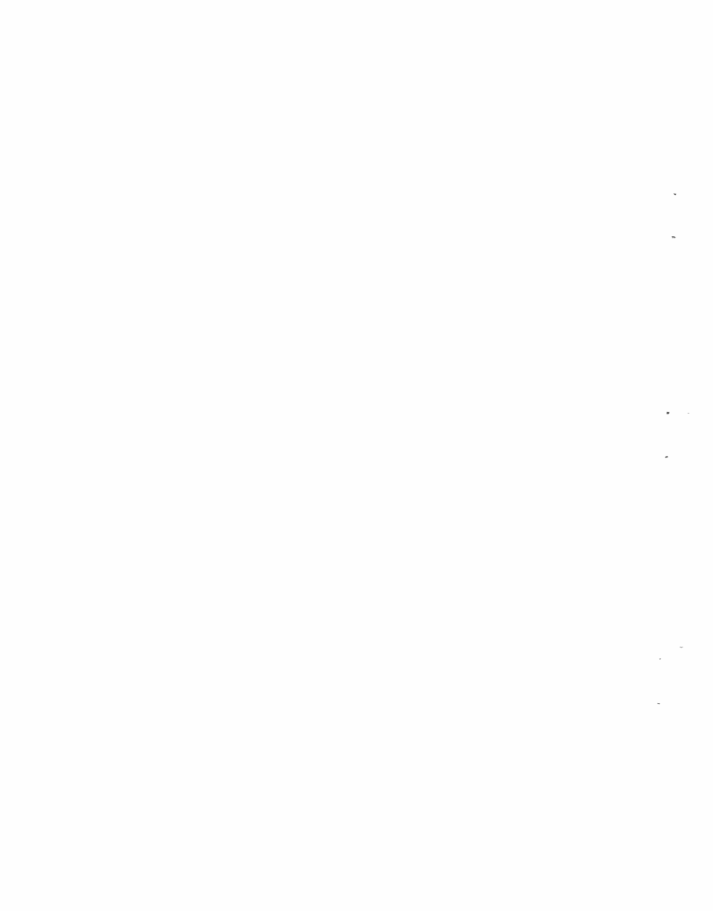$\label{eq:reduced} \mathbf{z} = \left( \begin{array}{cc} \mathbf{z} & \mathbf{z} \end{array} \right)$  $\frac{1}{2}$  .  $\frac{1}{\sqrt{2}}$ Ÿ,  $\frac{1}{2}$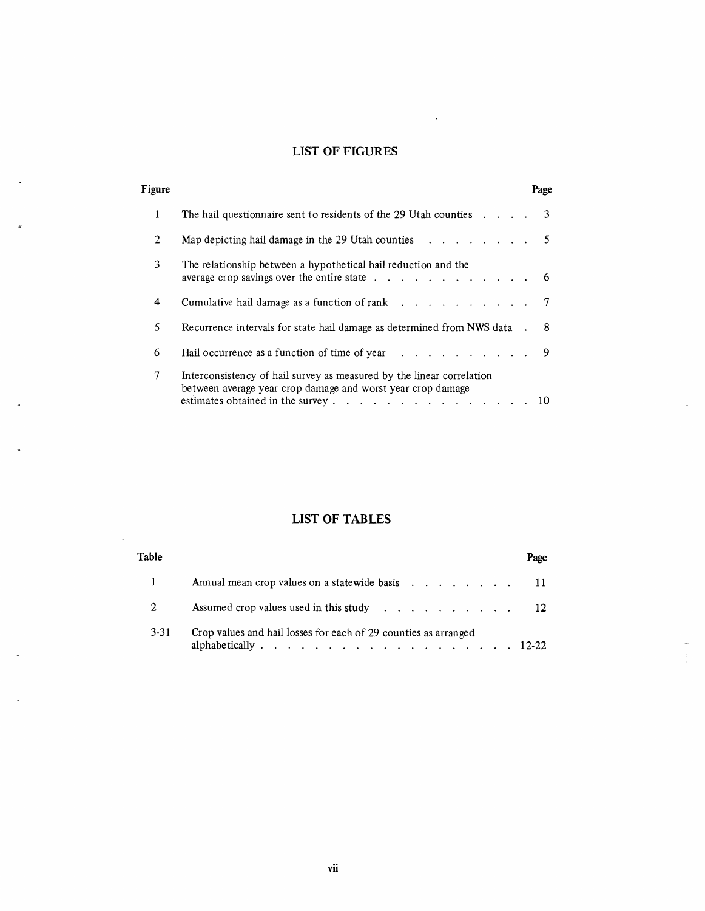# LIST OF FIGURES

 $\alpha$ 

 $\alpha$ 

 $\ddot{\phantom{a}}$ 

| Figure         |                                                                                                                                                                          | Page |
|----------------|--------------------------------------------------------------------------------------------------------------------------------------------------------------------------|------|
| 1              | The hail questionnaire sent to residents of the 29 Utah counties $\therefore$ 3                                                                                          |      |
| $\overline{2}$ | Map depicting hail damage in the 29 Utah counties 5                                                                                                                      |      |
| 3              | The relationship between a hypothetical hail reduction and the<br>average crop savings over the entire state $\ldots$ 6                                                  |      |
| 4              | Cumulative hail damage as a function of rank                                                                                                                             |      |
| 5              | Recurrence intervals for state hail damage as determined from NWS data.                                                                                                  | 8    |
| 6              | Hail occurrence as a function of time of year $\cdots$ $\cdots$ $\cdots$ $\cdots$                                                                                        | 9    |
| 7              | Interconsistency of hail survey as measured by the linear correlation<br>between average year crop damage and worst year crop damage<br>estimates obtained in the survey | - 10 |

# LIST OF TABLES

| Table          |                                                                 | Page |
|----------------|-----------------------------------------------------------------|------|
|                | Annual mean crop values on a statewide basis 11                 |      |
| $\overline{2}$ | Assumed crop values used in this study 12                       |      |
| $3 - 31$       | Crop values and hail losses for each of 29 counties as arranged |      |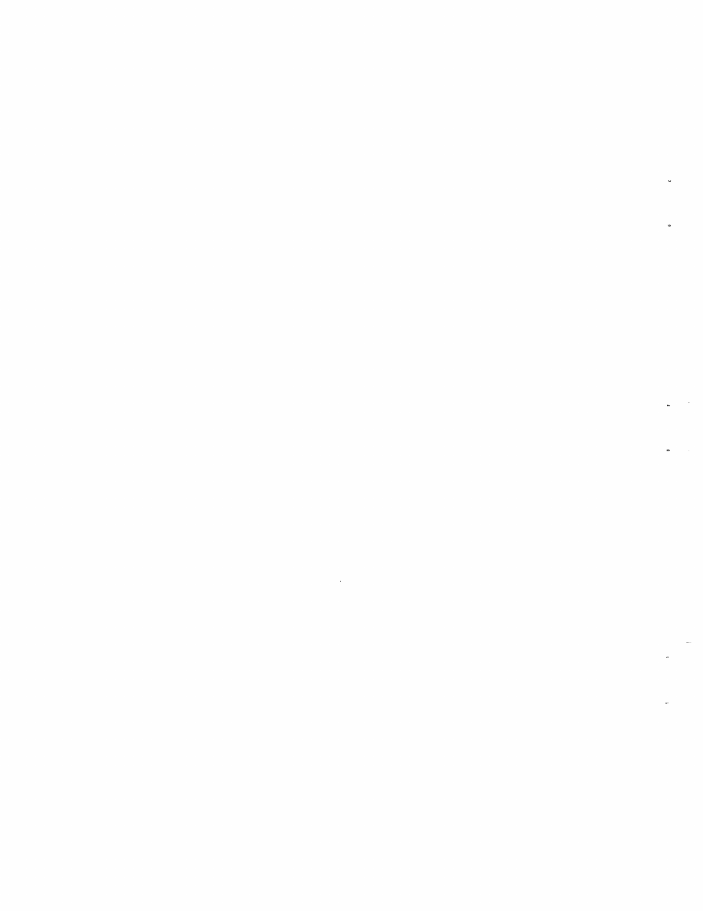$\sim$  $\frac{1}{2}$  $\frac{1}{\mathbf{w}}\left(\mathbf{w}^{(1)},\mathbf{w}^{(2)}\right)$  $\bullet$  .  $\mathbb{R}^{\mathbb{Z}_{2}}$  $\mathcal{L}^{\text{max}}_{\text{max}}$  and  $\mathcal{L}^{\text{max}}_{\text{max}}$  $\mathbb{R}^d$  $\sim$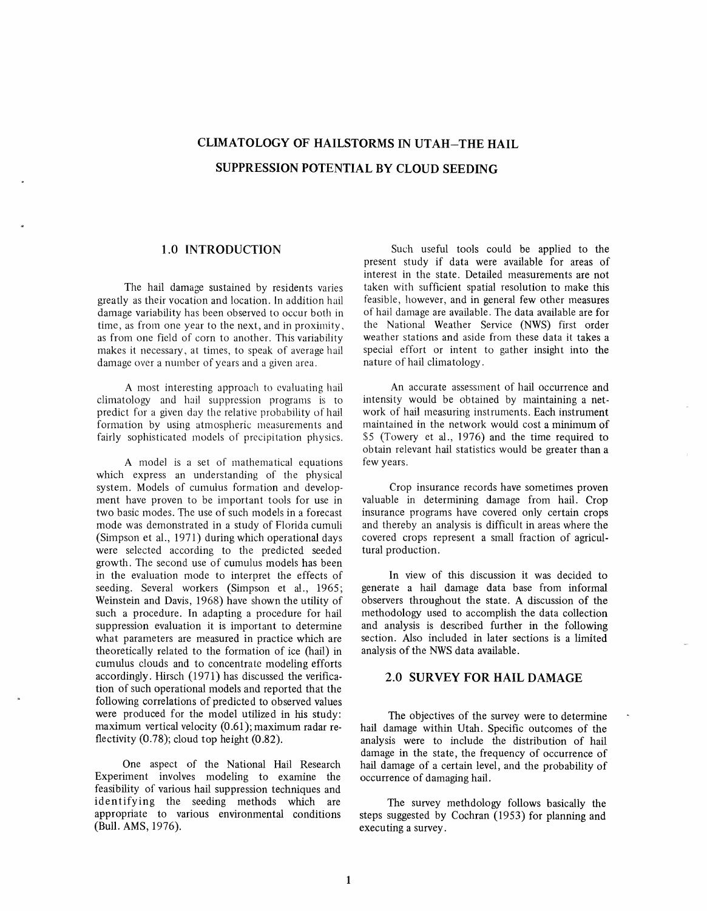# CLIMATOLOGY OF HAILSTORMS IN UTAH-THE HAIL SUPPRESSION POTENTIAL BY CLOUD SEEDING

## 1.0 INTRODUCTION

The hail damage sustained by residents varies greatly as their vocation and location. In addition hail damage variability has been observed to occur both in time, as from one year to the next, and in proximity, as from one field of corn to another. This variability makes it necessary, at times, to speak of average hail damage over a number of years and a given area.

A most interesting approach to evaluating hail climatology and hail suppression programs is to predict for a given day the relative probability of hail formation by using atmospheric measurements and fairly sophisticated models of precipitation physics.

A model is a set of mathematical equations which express an understanding of the physical system. Models of cumulus formation and development have proven to be important tools for use in two basic modes. The use of such models in a forecast mode was demonstrated in a study of Florida cumuli (Simpson et al., 1971) during which operational days were selected according to the predicted seeded growth. The second use of cumulus models has been in the evaluation mode to interpret the effects of seeding. Several workers (Simpson et al., 1965; Weinstein and Davis, 1968) have shown the utility of such a procedure. In adapting a procedure for hail suppression evaluation it is important to determine what parameters are measured in practice which are theoretically related to the formation of ice (hail) in cumulus clouds and to concentrate modeling efforts accordingly. Hirsch (1971) has discussed the verification of such operational models and reported that the following correlations of predicted to observed values were produced for the model utilized in his study: maximum vertical velocity (0.61); maximum radar reflectivity (0.78); cloud top height (0.82).

One aspect of the National Hail Research Experiment involves modeling to examine the feasibility of various hail suppression techniques and identifying the seeding methods which are appropriate to various environmental conditions (Bull. AMS, 1976).

Such useful tools could be applied to the present study if data were available for areas of interest in the state. Detailed measurements are not taken with sufficient spatial resolution to make this feasible, however, and in general few other measures of hail damage are available. The data available are for the National Weather Service (NWS) first order weather stations and aside from these data it takes a special effort or intent to gather insight into the nature of hail climatology.

An accurate assessment of hail occurrence and intensity would be obtained by maintaining a network of hail measuring instruments. Each instrument maintained in the network would cost a minimum of \$5 (Towery et al., 1976) and the time required to obtain relevant hail statistics would be greater than a few years.

Crop insurance records have sometimes proven valuable in determining damage from hail. Crop insurance programs have covered only certain crops and thereby an analysis is difficult in areas where the covered crops represent a small fraction of agricultural production.

In view of this discussion it was decided to generate a hail damage data base from informal observers throughout the state. A discussion of the methodology used to accomplish the data collection and analysis is described further in the following section. Also included in later sections is a limited analysis of the NWS data available.

### 2.0 SURVEY FOR HAIL DAMAGE

The objectives of the survey were to determine hail damage within Utah. Specific outcomes of the analysis were to include the distribution of hail damage in the state, the frequency of occurrence of hail damage of a certain level, and the probability of occurrence of damaging hail.

The survey methdology follows basically the steps suggested by Cochran (1953) for planning and executing a survey.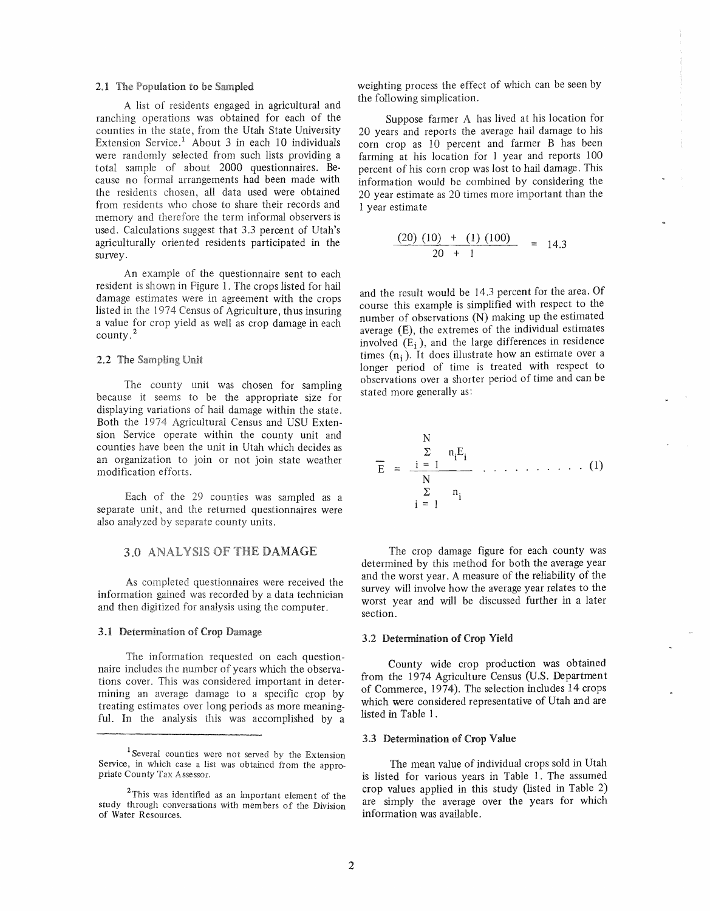#### 2.1 The Population to be Sampled

A list of residents engaged in agricultural and ranching operations was obtained for each of the counties in the state, from the Utah State University Extension Service.<sup>1</sup> About 3 in each 10 individuals were randomly selected from such lists providing a total sample of about 2000 questionnaires. Because no formal arrangements had been made with the residents chosen, all data used were obtained from residents who chose to share their records and memory and therefore the term informal observers is used. Calculations suggest that 3.3 percent of Utah's agriculturally oriented residents participated in the survey.

An example of the questionnaire sent to each resident is shown in Figure 1. The crops listed for hail damage estimates were in agreement with the crops listed in the 1974 Census of Agriculture, thus insuring a value for crop yield as well as crop damage in each county.2

#### 2.2 The Sampling Unit

The county unit was chosen for sampling because it seems to be the appropriate size for displaying variations of hail damage within the state. Both the 1974 Agricultural Census and USU Extension Service operate within the county unit and counties have been the unit in Utah which decides as an organization to join or not join state weather modification efforts.

Each of the 29 counties was sampled as a separate unit, and the returned questionnaires were also analyzed by separate county units.

### 3.0 ANALYSIS OF THE DAMAGE

As completed questionnaires were received the information gained was recorded by a data technician and then digitized for analysis using the computer.

#### 3.1 Determination of Crop Damage

The information requested on each questionnaire includes the number of years which the observations cover. This was considered important in determining an average damage to a specific crop by treating estimates over long periods as more meaningful. In the analysis this was accomplished by a

weighting process the effect of which can be seen by the following simplication.

Suppose farmer A has lived at his location for 20 years and reports the average hail damage to his corn crop as 10 percent and farmer B has been farming at his location for 1 year and reports 100 percent of his corn crop was lost to hail damage. This information would be combined by considering the 20 year estimate as 20 times more important than the 1 year estimate

$$
\frac{(20) (10) + (1) (100)}{20 + 1} = 14.3
$$

and the result would be 14.3 percent for the area. Of course this example is simplified with respect to the number of observations (N) making up the estimated average (E), the extremes of the individual estimates involved  $(E_i)$ , and the large differences in residence times  $(n_i)$ . It does illustrate how an estimate over a longer period of time is treated with respect to observations over a shorter period of time and can be stated more generally as:

$$
\overline{E} = \frac{\sum_{i=1}^{N} n_i E_i}{\sum_{i=1}^{N} n_i}
$$
 (1)

The crop damage figure for each county was determined by this method for both the average year and the worst year. A measure of the reliability of the survey will involve how the average year relates to the worst year and will be discussed further in a later section.

#### 3.2 Determination of Crop Yield

County wide crop production was obtained from the 1974 Agriculture Census (U.S. Department of Commerce, 1974). The selection includes 14 crops which were considered representative of Utah and are listed in Table 1.

#### 3.3 Determination of Crop Value

The mean value of individual crops sold in Utah is listed for various years in Table 1. The assumed crop values applied in this study (listed in Table 2) are simply the average over the years for which information was available.

<sup>&</sup>lt;sup>1</sup> Several counties were not served by the Extension Service, in which case a list was obtained from the appropriate County Tax Assessor.

<sup>&</sup>lt;sup>2</sup>This was identified as an important element of the study through conversations with members of the Division of Water Resources.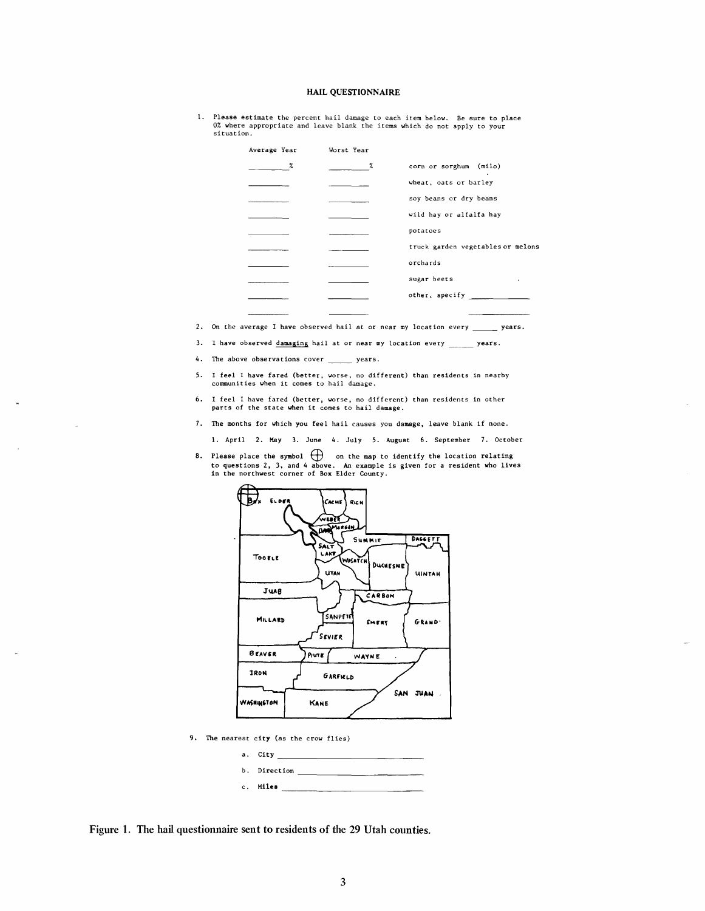#### **HAIL QUESTIONNAIRE**

1. Please est imate the percent ha il damage to each i tern below. Be sure to place 0% where appropriate and leave blank the items which do not apply to your situation.

| Average Year | Worst Year |                                   |
|--------------|------------|-----------------------------------|
| $\sim$ $\%$  | %          | corn or sorghum (milo)            |
|              |            | wheat, oats or barley             |
|              |            | soy beans or dry beans            |
|              |            | wild hay or alfalfa hay           |
|              |            | potatoes                          |
|              |            | truck garden vegetables or melons |
|              |            | orchards                          |
|              |            | sugar beets<br>٠                  |
|              |            | other, specify                    |

2. On the average I have observed hail at or near my location every \_\_\_\_\_\_ years.

3. I have observed damaging hail at or near my location every \_\_\_\_\_\_ years.

4. The above observations cover \_\_\_\_\_\_\_ years.

- 5. I feel I have fared (better, worse, no different) than residents in nearby communities when it comes to hail damage.
- 6. I feel I have fared (better, worse, no different) than residents in other parts of the state when it comes to hail damage.

7. The months for which you feel hail causes you damage, leave blank if none.

1. April 2. May 3. June 4. July 5. August 6. September 7. October

8. Please place the symbol  $\left(\frac{1}{1}\right)$  on the map to identify the location relating to questions 2, 3, and 4 above. An example is given for a resident who lives in the northwest corner of Box Elder County.



9. The nearest city (as the crow flies) a.  $City$   $\_\_$ b. Direction \_

c. **Miles** \_\_\_\_\_\_\_\_\_\_\_\_\_\_\_ \_

**Figure 1. The hail questionnaire sent to residents of the 29 Utah counties.**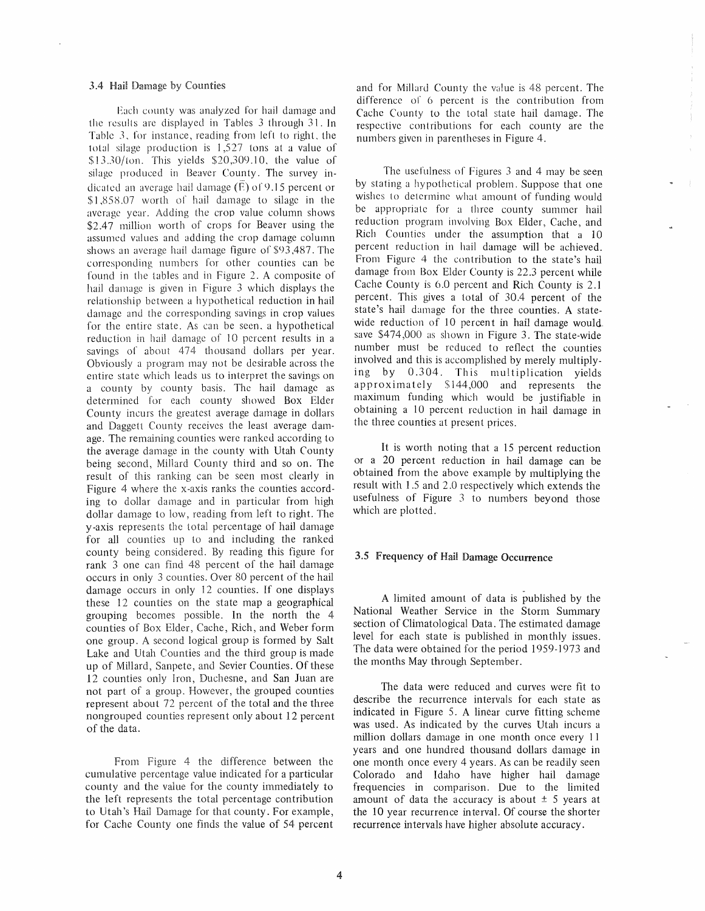#### 3.4 Hail Damage by Counties

Each county was analyzed for hail damage and the results are displayed in Tables 3 through 31. In Table 3, for instance, reading from left to right, the total silage production is 1,527 tons at a value of \$13.30/10n. This yields \$20,309.10, the value of silage produced in Beaver County. The survey indicated an average hail damage  $(\overline{E})$  of 9.15 percent or \$1,858.07 worth of hail damage to silage in the average year. Adding the crop value column shows \$2.47 million worth of crops for Beaver using the assumed values and adding the crop damage column shows an average hail damage figure of \$93,487. The corresponding numbers for other counties can be found in the tables and in Figure 2. A composite of hail damage is given in Figure 3 which displays the relationship between a hypothetical reduction in hail damage and the corresponding savings in crop values for the entire state. As can be seen, a hypothetical reduction in hail damage of 10 percent results in a savings of about 474 thousand dollars per year. Obviously a program may not be desirable across the entire state which leads us to interpret the savings on a county by county basis. The hail damage as determined for each county showed Box Elder County incurs the greatest average damage in dollars and Daggett County receives the least average damage. The remaining counties were ranked according to the average damage in the county with Utah County being second, Millard County third and so on. The result of this ranking can be seen most clearly in Figure 4 where the x-axis ranks the counties according to dollar damage and in particular from high dollar damage to low, reading from left to right. The y -axis represents the total percentage of hail damage for all counties up to and including the ranked county being considered. By reading this figure for rank 3 one can find 48 percent of the hail damage occurs in only 3 counties. Over 80 percent of the hail damage occurs in only 12 counties. If one displays these 12 counties on the state map a geographical grouping becomes possible. In the north the 4 counties of Box Elder, Cache, Rich, and Weber form one group. A second logical group is formed by Salt Lake and Utah Counties and the third group is made up of Millard, Sanpete, and Sevier Counties. Of these 12 counties only Iron, Duchesne, and San Juan are not part of a group. However, the grouped counties represent about 72 percent of the total and the three nongrouped counties represent only about 12 percent of the data.

From Figure 4 the difference between the cumulative percentage value indicated for a particular county and the value for the county immediately to the left represents the total percentage contribution to Utah's Hail Damage for that county. For example, for Cache County one finds the value of 54 percent

and for Millard County the value is 48 percent. The difference of 6 percent is the contribution from Cache County to the total state hail damage. The respective contributions for each county are the numbers given in parentheses in Figure 4.

 $\begin{array}{c} \mathbf{1} \\ \mathbf{1} \\ \mathbf{1} \end{array}$ 

The usefulness of Figures 3 and 4 may be seen by stating a hypothetical problem. Suppose that one wishes to determine what amount of funding would be appropriate for a three county summer hail reduction program involving Box Elder, Cache, and Rich Counties under the assumption that a 10 percent reduction in hail damage will be achieved. From Figure 4 the contribution to the state's hail damage from Box Elder County is 22.3 percent while Cache County is 6.0 percent and Rich County is 2.1 percent. This gives a total of 30.4 percent of the state's hail damage for the three counties. A statewide reduction of 10 percent in hail damage would. save \$474,000 as shown in Figure 3. The state-wide number must be reduced to reflect the counties involved and this is accomplished by merely multiplying by 0.304. This multiplication yields approximately S144,000 and represents the maximum funding which would be justifiable in obtaining a 10 percent reduction in hail damage in the three counties at present prices.

It is worth noting that a 15 percent reduction or a 20 percent reduction in hail damage can be obtained from the above example by multiplying the result with 1 .5 and 2.0 respectively which extends the usefulness of Figure  $3$  to numbers beyond those which are plotted.

## 3.5 Frequency of Hail Damage Occurrence

A limited amount of data is published by the National Weather Service in the Storm Summary section of Climatological Data. The estimated damage level for each state is published in monthly issues. The data were obtained for the period 1959-1973 and the months May through September.

The data were reduced and curves were fit to describe the recurrence intervals for each state as indicated in Figure 5. A linear curve fitting scheme was used. As indicated by the curves Utah incurs a million dollars damage in one month once every 11 years and one hundred thousand dollars damage in one month once every 4 years. As can be readily seen Colorado and Idaho have higher hail damage frequencies in comparison. Due to the limited amount of data the accuracy is about  $\pm$  5 years at the 10 year recurrence interval. Of course the shorter recurrence intervals have higher absolute accuracy.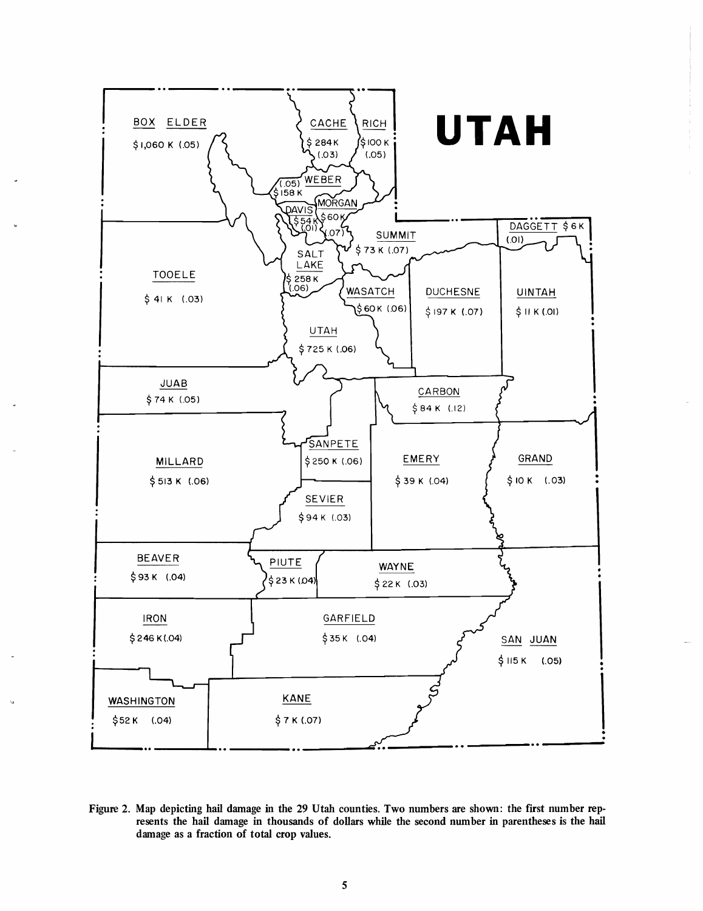

Figure 2. Map depicting hail damage in the 29 Utah counties. Two numbers are shown: the first number represents the hail damage in thousands of dollars while the second number in parentheses is the hail damage as a fraction of total crop values.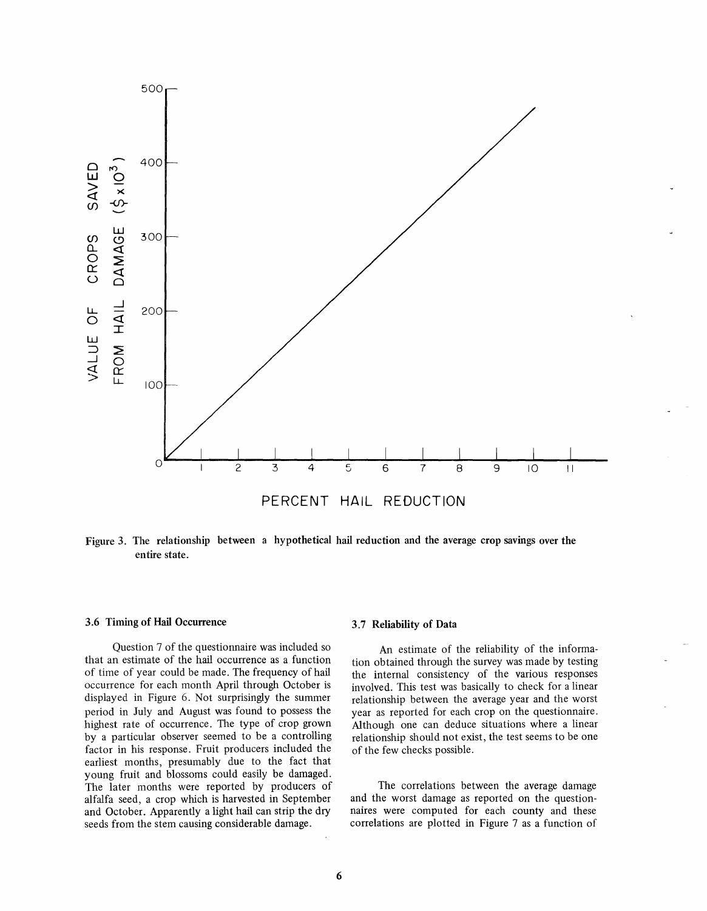

Figure 3. The relationship between a hypothetical hail reduction and the average crop savings over the entire state.

#### 3.6 Timing of Hail Occurrence

Question 7 of the questionnaire was included so that an estimate of the hail occurrence as a function of time of year could be made. The frequency of hail occurrence for each month April through October is displayed in Figure 6. Not surprisingly the summer period in July and August was found to possess the highest rate of occurrence. The type of crop grown by a particular observer seemed to be a controlling factor in his response. Fruit producers included the earliest months, presumably due to the fact that young fruit and blossoms could easily be damaged. The later months were reported by producers of alfalfa seed, a crop which is harvested in September and October. Apparently a light hail can strip the dry seeds from the stem causing considerable damage.

#### 3.7 Reliability of Data

An estimate of the reliability of the information obtained through the survey was made by testing the internal consistency of the various responses involved. This test was basically to check for a linear relationship between the average year and the worst year as reported for each crop on the questionnaire. Although one can deduce situations where a linear relationship should not exist, the test seems to be one of the few checks possible.

The correlations between the average damage and the worst damage as reported on the questionnaires were computed for each county and these correlations are plotted in Figure 7 as a function of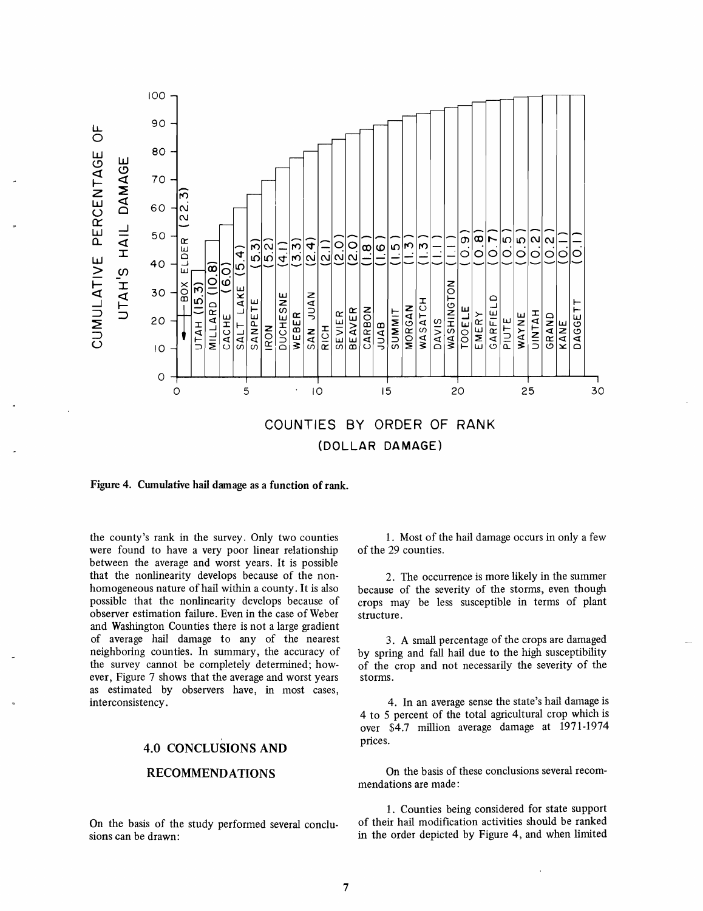

Figure 4. Cumulative hail damage as a function of rank.

the county's rank in the survey. Only two counties were found to have a very poor linear relationship between the average and worst years. It is possible that the nonlinearity develops because of the nonhomogeneous nature of hail within a county. It is also possible that the nonlinearity develops because of observer estimation failure. Even in the case of Weber and Washington Counties there is not a large gradient of average hail damage to any of the nearest neighboring counties. In summary, the accuracy of the survey cannot be completely determined; however, Figure 7 shows that the average and worst years as estimated by observers have, in most cases, interconsistency.

# 4.0 CONCLUSIONS AND

### RECOMMENDATIONS

On the basis of the study performed several conclusions can be drawn:

1. Most of the hail damage occurs in only a few of the 29 counties.

2. The occurrence is more likely in the summer because of the severity of the storms, even though crops may be less susceptible in terms of plant structure.

3. A small percentage of the crops are damaged by spring and fall hail due to the high susceptibility of the crop and not necessarily the severity of the storms.

4. In an average sense the state's hail damage is 4 to 5 percent of the total agricultural crop which is over \$4.7 million average damage at 1971-1974 prices.

On the basis of these conclusions several recommendations are made:

1. Counties being considered for state support of their hail modification activities should be ranked in the order depicted by Figure 4, and when limited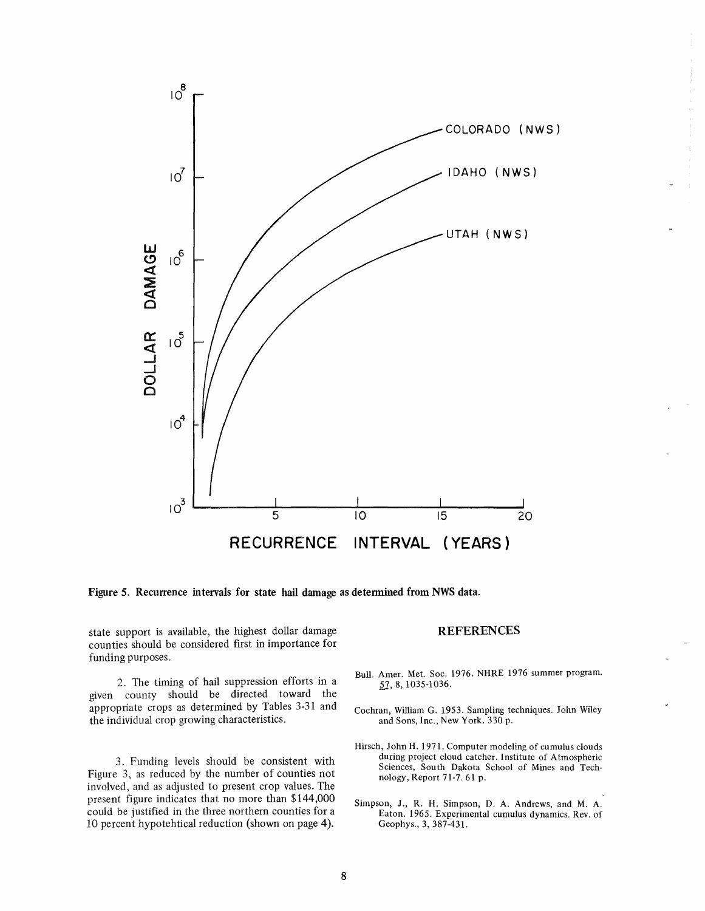

Figure S. Recurrence intervals for state hail damage as detennined from NWS data.

state support is available, the highest dollar damage counties should be considered first in importance for funding purposes.

2. The timing of hail suppression efforts in a given county should be directed toward the appropriate crops as determined by Tables 3-31 and the individual crop growing characteristics.

3. Funding levels should be consistent with Figure 3, as reduced by the number of counties not involved, and as adjusted to present crop values. The present figure indicates that no more than \$144,000 could be justified in the three northern counties for a 10 percent hypotehtical reduction (shown on page 4).

#### REFERENCES

- Bull. Amer. Met. Soc. 1976. NHRE 1976 summer program. 57,8,1035-1036.
- Cochran, William G. 1953. Sampling techniques. John Wiley and Sons, Inc., New York. 330 p.
- Hirsch, John H. 1971. Computer modeling of cumulus clouds during project cloud catcher. Institute of Atmospheric Sciences, South Dakota School of Mines and Technology, Report 71-7. 61 p.
- Simpson, J., R. H. Simpson, D. A. Andrews, and M. A. Eaton. 1965. Experimental cumulus dynamics. Rev. of Geophys., 3, 387-431.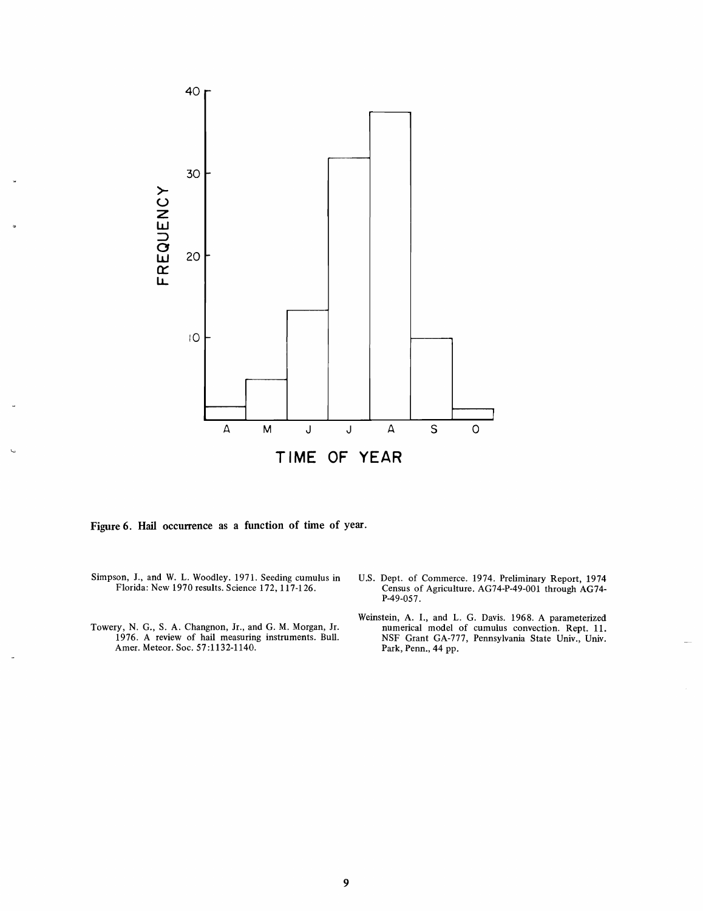

Figure 6. Hail occurrence as a function of time of year.

- Simpson, J., and W. L. Woodley. 1971. Seeding cumulus in Florida: New 1970 results. Science 172,117-126.
- Towery, N. G., S. A. Changnon, Jr., and G. M. Morgan, Jr. 1976. A review of hail measuring instruments. Bull. Amer. Meteor. Soc. 57 :1132-1140.
- U.S. Dept. of Commerce. 1974. Preliminary Report, 1974 Census of Agriculture. AG74-P-49-001 through AG74- P-49-057.
- Weinstein, A. I., and L. G. Davis. 1968. A parameterized numerical model of cumulus convection. Rept. 11. NSF Grant GA-777, Pennsylvania State Univ., Univ. Park, Penn., 44 pp.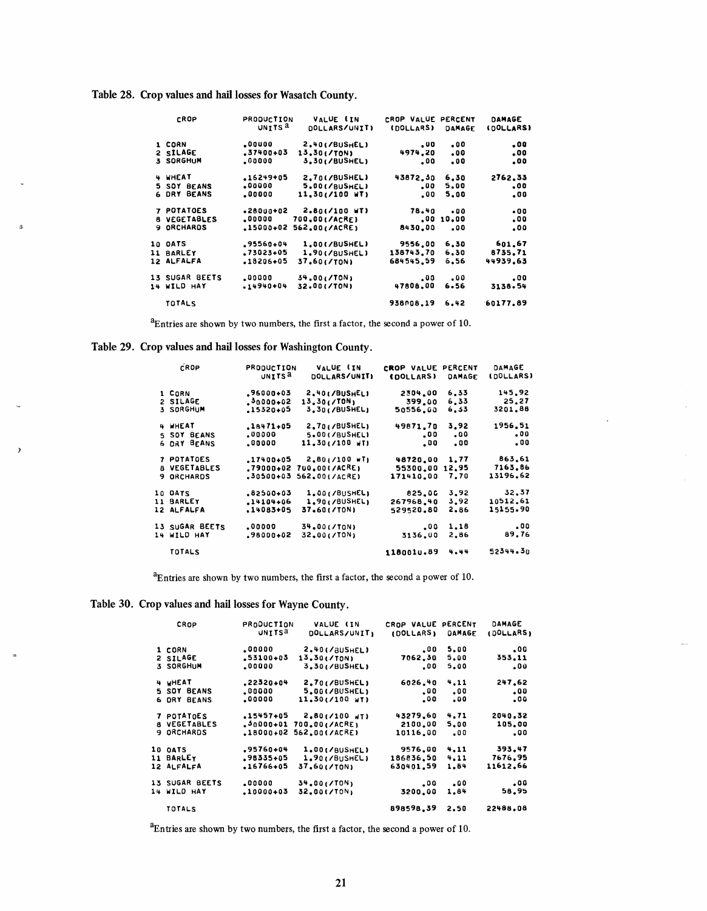Table 28. Crop values and hail losses for Wasatch County.

s

 $\rightarrow$ 

 $\approx$ 

| <b>CROP</b>         | PRODUCTION<br>UNITS <sup>a</sup> | VALUE (IN<br>DOLLARS/UNIT)  | CROP VALUE<br>(DOLLARS) | PERCENT<br>DAMAGE | <b>DAMAGE</b><br>(DOLLARS) |
|---------------------|----------------------------------|-----------------------------|-------------------------|-------------------|----------------------------|
| 1 CORN              | .00000                           | 2,40(7BUSHEL)               | .00                     | .00               | .00                        |
| <b>2 SILAGE</b>     | .37400+03                        | 13.30(/TON)                 | 4974.20                 | .00               | 00.                        |
| 3 SORGHUM           | .00000                           | 3.30(7BUSHEL)               | .00                     | .00               | 0٥.                        |
| 4 WHEAT             | .16249+05                        | 2.70(7BUSHEL)               | 43872.30                | 6.30              | 2762.33                    |
| 5 SOY BEANS         | .00000                           | 5.00(7BUSHEL)               | .00                     | 5.00              | .00                        |
| <b>6 DRY BEANS</b>  | .00000                           | 11.30( / 100 W)             | .00                     | 5.00              | .00                        |
| 7 POTATOES          |                                  | $-28000+02$ $2.80(7100$ wt) | 78.40                   | .00               | .00                        |
| <b>8 VEGETABLES</b> | $\boldsymbol{\cdot}$ 00000       | 700,00(/ACRE)               |                         | .0010.00          | .00                        |
| <b>9 ORCHARDS</b>   |                                  | $.15000+02562.001/ACRE$     | 8430.00                 | .00               | 0٥.                        |
| 10 OATS             | .95560+04                        | $1,00$ (/BUSHEL)            | 9556.00                 | 6.30              | 601.67                     |
| 11 BARLEY           | .73023+05                        | 1.90(78USHEL)               | 138743.70               | 6.30              | 8735.71                    |
| 12 ALFALFA          | .18206+05                        | 37.60(/TON)                 | 684545.59               | 6.56              | 44939.63                   |
| 13 SUGAR BEETS      | .00000                           | 34.00 (/TON)                | .00                     | .00               | .00                        |
| 14 WILD HAY         | $.14940+04$                      | 32.00(/TON)                 | 47808.00                | 6.56              | 3138.54                    |
| <b>TOTALS</b>       |                                  |                             | 938008.19               | 6.42              | 60177.89                   |

<sup>a</sup>Entries are shown by two numbers, the first a factor, the second a power of 10.

Table 29. Crop values and hail losses for Washington County.

| CROP                  | PRODUCTION<br>UNITS <sup>a</sup> | VALUE (IN<br>DOLLARS/UNIT) | CROP VALUE<br><b>(DOLLARS)</b> | PERCENT<br><b>DAMAGF</b> | <b>DAMAGE</b><br>(DOLLARS) |
|-----------------------|----------------------------------|----------------------------|--------------------------------|--------------------------|----------------------------|
| 1 CORN                | .96000+03                        | 2.40(7BUSHEL)              | 2304.00                        | 6.33                     | 145.92                     |
| <b>2 SILAGE</b>       | $.30000+02$                      | 13.30(770N)                | 399.00                         | 6.33                     | 25.27                      |
| 3 SORGHUM             | .15320+05                        | 3.30(/BUSHEL)              | 50556.00                       | 6.33                     | 3201,88                    |
| 4 WHEAT               | $.18471+05$                      | 2.70(7BUSHEL)              | 49871.70                       | 3.92                     | 1956.51                    |
| <b>5 SOY BEANS</b>    | .00000                           | 5.00 (/BUSHEL)             | -00                            | .00                      | 0٥.                        |
| 6 DRY BEANS           | .00000                           | $11,30(7100$ will          | . 00                           | .00                      | 00,                        |
| <b>7 POTATOES</b>     |                                  | $.17400+05$ 2.80(/100 wT)  | 48720.00                       | 1.77                     | 863,61                     |
| <b>8 VEGETABLES</b>   |                                  | .79000+02 700.00(/ACRE)    | 55300.00                       | 12.95                    | 7163.86                    |
| <b>9 ORCHARDS</b>     | .30500+03                        | 562.00(/ACRE)              | 171410.00                      | 7.70                     | 13196.62                   |
| 10 OATS               | .82500+03                        | 1.001/BUSHEL               | 825.00                         | 3.92                     | 32.37                      |
| <b>11 BARLEY</b>      | $.14104 + 06$                    | 1.90(78USHEL)              | 267968.40                      | 3.92                     | 10512.61                   |
| 12 ALFALFA            | .14083+05                        | 37.60(/TON)                | 529520.80                      | 2.86                     | 15155.90                   |
| <b>13 SUGAR BEETS</b> | .00000                           | 34,00(770N)                | .00                            | 1,18                     | .00                        |
| 14 WILD HAY           | .98000+02                        | 32.00(/TON)                | 3136.00                        | 2.86                     | 89.76                      |
| TOTALS                |                                  |                            | 1180010.89                     | 4.44                     | 52344.30                   |
|                       |                                  |                            |                                |                          |                            |

 $\bar{z}$ 

<sup>a</sup>Entries are shown by two numbers, the first a factor, the second a power of 10.

Table 30. Crop values and hail losses for Wayne County.

|    | CROP                | PRODUCTION<br><b>UNITSA</b> | VALUE (IN<br><b>DOLLARS/UNIT,</b> | CROP VALUE<br>(DOLLARS) | PERCENT<br><b>DAMAGE</b> | <b>DAMAGE</b><br>(DOLLARS) |
|----|---------------------|-----------------------------|-----------------------------------|-------------------------|--------------------------|----------------------------|
|    | 1 CORN              | .00000                      | 2.40(7BUSHEL)                     | .00                     | 5.00                     | .00                        |
|    | 2 SILAGE            | .53100+03                   | 13.30(770N)                       | 7062.30                 | 5.00                     | 353.11                     |
|    | 3 SORGHUM           | ,00000                      | 3.30(/BUSHEL)                     | .00                     | 5.00                     | .00                        |
|    | 4 WHEAT             | .22320+04                   | 2,70(7BUSHEL)                     | 6026.40                 | 4.11                     | 247.62                     |
|    | 5 SOY BEANS         | .00000                      | 5.00(78USHEL)                     | .00                     | .00                      | .00                        |
|    | <b>6 DRY BEANS</b>  | ,00000                      | $11.30(7100$ WT)                  | .00                     | 00.                      | .00                        |
|    | 7 POTATOES          |                             | $.15457+05$ 2.80(/100 $\sqrt{11}$ | 43279.60                | 4.71                     | 2040.32                    |
|    | <b>8 VEGETABLES</b> |                             | .30000+01 700.00(/ACRE)           | 2100.00                 | 5.00                     | 105.00                     |
| 9. | <b>ORCHARDS</b>     |                             | .18000+02 562.00(/ACRE)           | 10116.00                | .00                      | .00                        |
|    | 10 DATS             | .95760+04                   | 1.00(7BUSHEL)                     | 9576.00                 | 4.11                     | 393.47                     |
|    | 11 BARLEY           | .98335+05                   | 1.90(7BUSHEL)                     | 186836.50               | 4.11                     | 7676.95                    |
|    | 12 ALFALFA          | .16766+05                   | 37.60(/TON)                       | 630401.59               | 1.84                     | 11612.66                   |
|    | 13 SUGAR BEETS      | .00000                      | 34.00(770N)                       | .00                     | -00                      | .00                        |
|    | 14 WILD HAY         | .10000+03                   | 32.00(/TON)                       | 3200.00                 | 1.84                     | 58.95                      |
|    | <b>TOTALS</b>       |                             |                                   | 898598.39               | 2.50                     | 22488.08                   |

 ${}^{a}$ Entries are shown by two numbers, the first a factor, the second a power of 10.